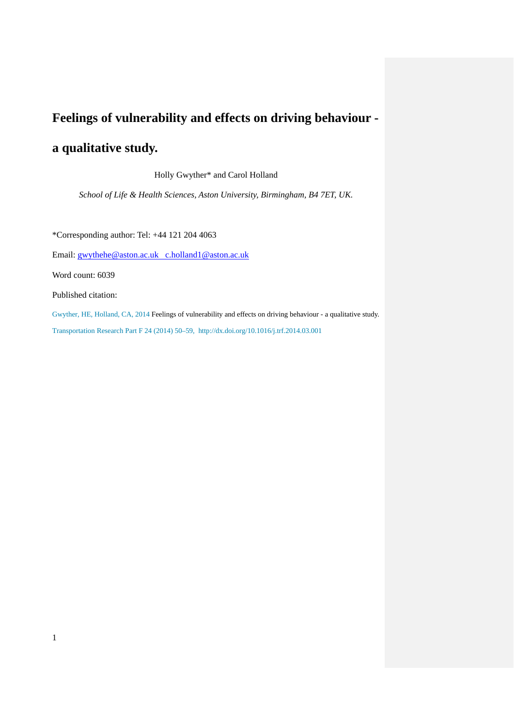## **Feelings of vulnerability and effects on driving behaviour -**

# **a qualitative study.**

Holly Gwyther\* and Carol Holland

*School of Life & Health Sciences, Aston University, Birmingham, B4 7ET, UK.*

\*Corresponding author: Tel: +44 121 204 4063

Email: [gwythehe@aston.ac.uk](mailto:gwythehe@aston.ac.uk) c.holland1@aston.ac.uk

Word count: 6039

Published citation:

1

Gwyther, HE, Holland, CA, 2014 Feelings of vulnerability and effects on driving behaviour - a qualitative study. Transportation Research Part F 24 (2014) 50–59, http://dx.doi.org/10.1016/j.trf.2014.03.001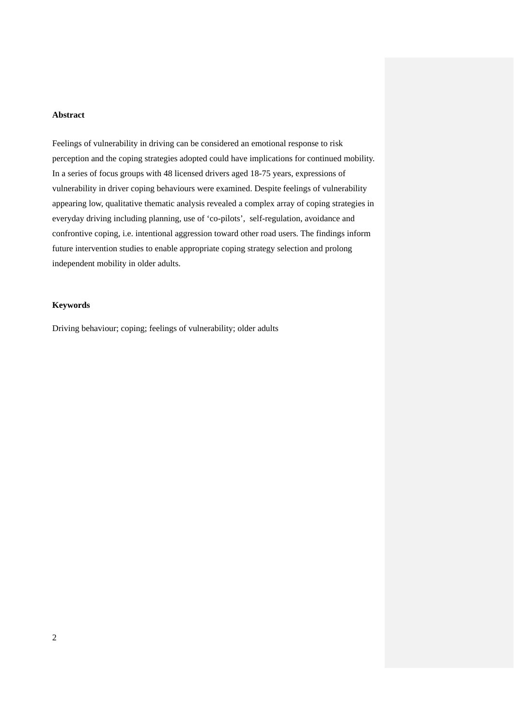#### **Abstract**

Feelings of vulnerability in driving can be considered an emotional response to risk perception and the coping strategies adopted could have implications for continued mobility. In a series of focus groups with 48 licensed drivers aged 18-75 years, expressions of vulnerability in driver coping behaviours were examined. Despite feelings of vulnerability appearing low, qualitative thematic analysis revealed a complex array of coping strategies in everyday driving including planning, use of 'co-pilots', self-regulation, avoidance and confrontive coping, i.e. intentional aggression toward other road users. The findings inform future intervention studies to enable appropriate coping strategy selection and prolong independent mobility in older adults.

#### **Keywords**

Driving behaviour; coping; feelings of vulnerability; older adults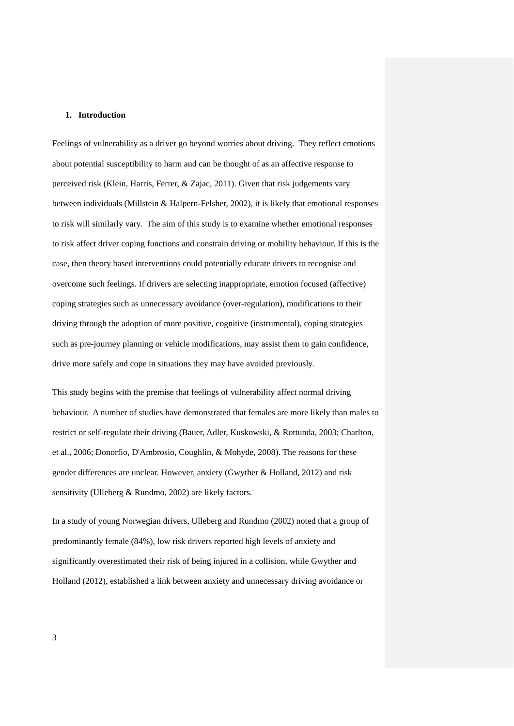#### **1. Introduction**

Feelings of vulnerability as a driver go beyond worries about driving. They reflect emotions about potential susceptibility to harm and can be thought of as an affective response to perceived risk (Klein, Harris, Ferrer, & Zajac, 2011). Given that risk judgements vary between individuals (Millstein & Halpern-Felsher, 2002), it is likely that emotional responses to risk will similarly vary. The aim of this study is to examine whether emotional responses to risk affect driver coping functions and constrain driving or mobility behaviour. If this is the case, then theory based interventions could potentially educate drivers to recognise and overcome such feelings. If drivers are selecting inappropriate, emotion focused (affective) coping strategies such as unnecessary avoidance (over-regulation), modifications to their driving through the adoption of more positive, cognitive (instrumental), coping strategies such as pre-journey planning or vehicle modifications, may assist them to gain confidence, drive more safely and cope in situations they may have avoided previously.

This study begins with the premise that feelings of vulnerability affect normal driving behaviour. A number of studies have demonstrated that females are more likely than males to restrict or self-regulate their driving (Bauer, Adler, Kuskowski, & Rottunda, 2003; Charlton, et al., 2006; Donorfio, D'Ambrosio, Coughlin, & Mohyde, 2008). The reasons for these gender differences are unclear. However, anxiety (Gwyther & Holland, 2012) and risk sensitivity (Ulleberg & Rundmo, 2002) are likely factors.

In a study of young Norwegian drivers, Ulleberg and Rundmo (2002) noted that a group of predominantly female (84%), low risk drivers reported high levels of anxiety and significantly overestimated their risk of being injured in a collision, while Gwyther and Holland (2012), established a link between anxiety and unnecessary driving avoidance or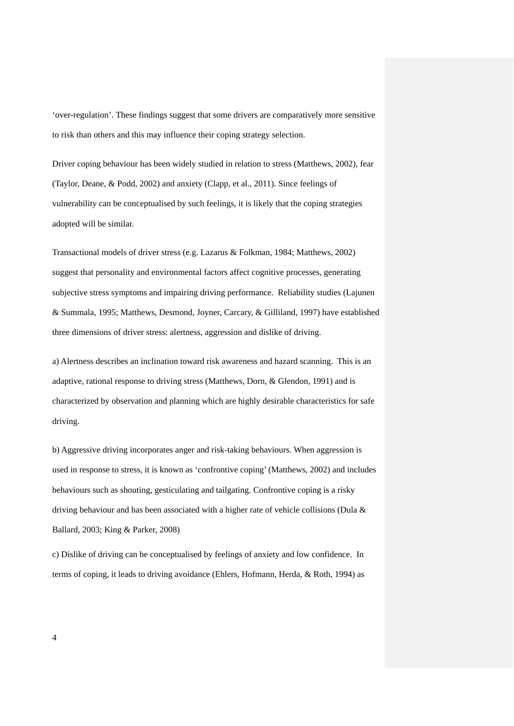'over-regulation'. These findings suggest that some drivers are comparatively more sensitive to risk than others and this may influence their coping strategy selection.

Driver coping behaviour has been widely studied in relation to stress (Matthews, 2002), fear (Taylor, Deane, & Podd, 2002) and anxiety (Clapp, et al., 2011). Since feelings of vulnerability can be conceptualised by such feelings, it is likely that the coping strategies adopted will be similar.

Transactional models of driver stress (e.g. Lazarus & Folkman, 1984; Matthews, 2002) suggest that personality and environmental factors affect cognitive processes, generating subjective stress symptoms and impairing driving performance. Reliability studies (Lajunen & Summala, 1995; Matthews, Desmond, Joyner, Carcary, & Gilliland, 1997) have established three dimensions of driver stress: alertness, aggression and dislike of driving.

a) Alertness describes an inclination toward risk awareness and hazard scanning. This is an adaptive, rational response to driving stress (Matthews, Dorn, & Glendon, 1991) and is characterized by observation and planning which are highly desirable characteristics for safe driving.

b) Aggressive driving incorporates anger and risk-taking behaviours. When aggression is used in response to stress, it is known as 'confrontive coping' (Matthews, 2002) and includes behaviours such as shouting, gesticulating and tailgating. Confrontive coping is a risky driving behaviour and has been associated with a higher rate of vehicle collisions (Dula & Ballard, 2003; King & Parker, 2008)

c) Dislike of driving can be conceptualised by feelings of anxiety and low confidence. In terms of coping, it leads to driving avoidance (Ehlers, Hofmann, Herda, & Roth, 1994) as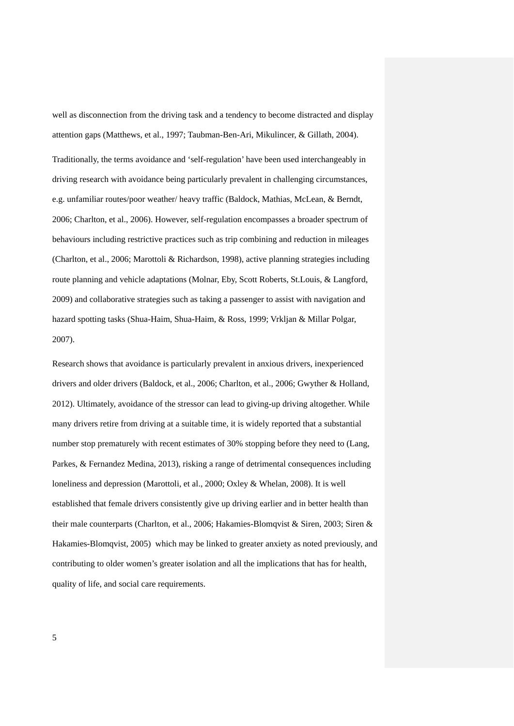well as disconnection from the driving task and a tendency to become distracted and display attention gaps (Matthews, et al., 1997; Taubman-Ben-Ari, Mikulincer, & Gillath, 2004).

Traditionally, the terms avoidance and 'self-regulation' have been used interchangeably in driving research with avoidance being particularly prevalent in challenging circumstances, e.g. unfamiliar routes/poor weather/ heavy traffic (Baldock, Mathias, McLean, & Berndt, 2006; Charlton, et al., 2006). However, self-regulation encompasses a broader spectrum of behaviours including restrictive practices such as trip combining and reduction in mileages (Charlton, et al., 2006; Marottoli & Richardson, 1998), active planning strategies including route planning and vehicle adaptations (Molnar, Eby, Scott Roberts, St.Louis, & Langford, 2009) and collaborative strategies such as taking a passenger to assist with navigation and hazard spotting tasks (Shua-Haim, Shua-Haim, & Ross, 1999; Vrkljan & Millar Polgar, 2007).

Research shows that avoidance is particularly prevalent in anxious drivers, inexperienced drivers and older drivers (Baldock, et al., 2006; Charlton, et al., 2006; Gwyther & Holland, 2012). Ultimately, avoidance of the stressor can lead to giving-up driving altogether. While many drivers retire from driving at a suitable time, it is widely reported that a substantial number stop prematurely with recent estimates of 30% stopping before they need to (Lang, Parkes, & Fernandez Medina, 2013), risking a range of detrimental consequences including loneliness and depression (Marottoli, et al., 2000; Oxley & Whelan, 2008). It is well established that female drivers consistently give up driving earlier and in better health than their male counterparts (Charlton, et al., 2006; Hakamies-Blomqvist & Siren, 2003; Siren & Hakamies-Blomqvist, 2005) which may be linked to greater anxiety as noted previously, and contributing to older women's greater isolation and all the implications that has for health, quality of life, and social care requirements.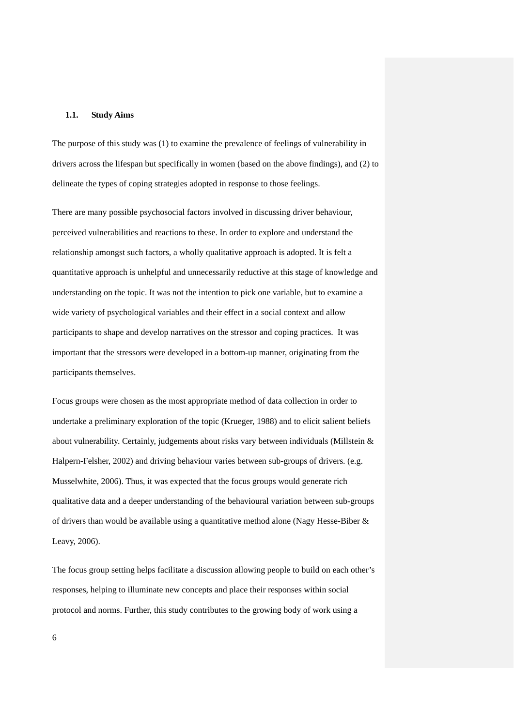#### **1.1. Study Aims**

The purpose of this study was (1) to examine the prevalence of feelings of vulnerability in drivers across the lifespan but specifically in women (based on the above findings), and (2) to delineate the types of coping strategies adopted in response to those feelings.

There are many possible psychosocial factors involved in discussing driver behaviour, perceived vulnerabilities and reactions to these. In order to explore and understand the relationship amongst such factors, a wholly qualitative approach is adopted. It is felt a quantitative approach is unhelpful and unnecessarily reductive at this stage of knowledge and understanding on the topic. It was not the intention to pick one variable, but to examine a wide variety of psychological variables and their effect in a social context and allow participants to shape and develop narratives on the stressor and coping practices. It was important that the stressors were developed in a bottom-up manner, originating from the participants themselves.

Focus groups were chosen as the most appropriate method of data collection in order to undertake a preliminary exploration of the topic (Krueger, 1988) and to elicit salient beliefs about vulnerability. Certainly, judgements about risks vary between individuals (Millstein & Halpern-Felsher, 2002) and driving behaviour varies between sub-groups of drivers. (e.g. Musselwhite, 2006). Thus, it was expected that the focus groups would generate rich qualitative data and a deeper understanding of the behavioural variation between sub-groups of drivers than would be available using a quantitative method alone (Nagy Hesse-Biber & Leavy, 2006).

The focus group setting helps facilitate a discussion allowing people to build on each other's responses, helping to illuminate new concepts and place their responses within social protocol and norms. Further, this study contributes to the growing body of work using a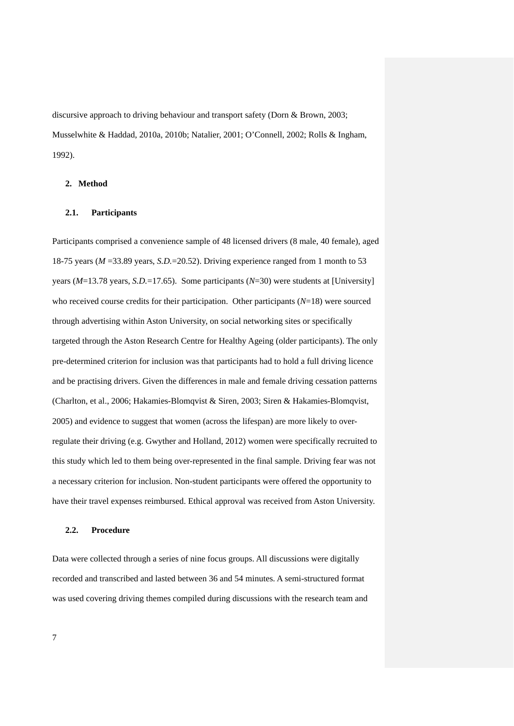discursive approach to driving behaviour and transport safety (Dorn & Brown, 2003; Musselwhite & Haddad, 2010a, 2010b; Natalier, 2001; O'Connell, 2002; Rolls & Ingham, 1992).

## **2. Method**

## **2.1. Participants**

Participants comprised a convenience sample of 48 licensed drivers (8 male, 40 female), aged 18-75 years (*M* =33.89 years, *S.D.*=20.52). Driving experience ranged from 1 month to 53 years (*M*=13.78 years, *S.D.*=17.65).Some participants (*N*=30) were students at [University] who received course credits for their participation. Other participants (*N*=18) were sourced through advertising within Aston University, on social networking sites or specifically targeted through the Aston Research Centre for Healthy Ageing (older participants). The only pre-determined criterion for inclusion was that participants had to hold a full driving licence and be practising drivers. Given the differences in male and female driving cessation patterns (Charlton, et al., 2006; Hakamies-Blomqvist & Siren, 2003; Siren & Hakamies-Blomqvist, 2005) and evidence to suggest that women (across the lifespan) are more likely to overregulate their driving (e.g. Gwyther and Holland, 2012) women were specifically recruited to this study which led to them being over-represented in the final sample. Driving fear was not a necessary criterion for inclusion. Non-student participants were offered the opportunity to have their travel expenses reimbursed. Ethical approval was received from Aston University.

#### **2.2. Procedure**

Data were collected through a series of nine focus groups. All discussions were digitally recorded and transcribed and lasted between 36 and 54 minutes. A semi-structured format was used covering driving themes compiled during discussions with the research team and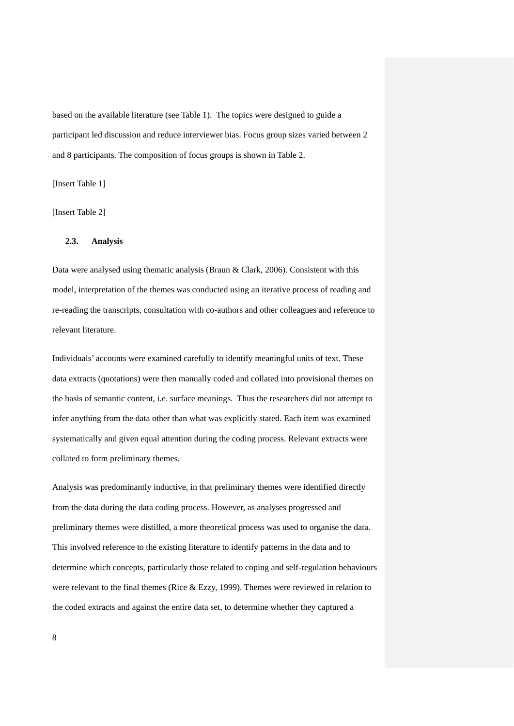based on the available literature (see Table 1). The topics were designed to guide a participant led discussion and reduce interviewer bias. Focus group sizes varied between 2 and 8 participants. The composition of focus groups is shown in Table 2.

[Insert Table 1]

[Insert Table 2]

## **2.3. Analysis**

Data were analysed using thematic analysis (Braun & Clark, 2006). Consistent with this model, interpretation of the themes was conducted using an iterative process of reading and re-reading the transcripts, consultation with co-authors and other colleagues and reference to relevant literature.

Individuals' accounts were examined carefully to identify meaningful units of text. These data extracts (quotations) were then manually coded and collated into provisional themes on the basis of semantic content, i.e. surface meanings. Thus the researchers did not attempt to infer anything from the data other than what was explicitly stated. Each item was examined systematically and given equal attention during the coding process. Relevant extracts were collated to form preliminary themes.

Analysis was predominantly inductive, in that preliminary themes were identified directly from the data during the data coding process. However, as analyses progressed and preliminary themes were distilled, a more theoretical process was used to organise the data. This involved reference to the existing literature to identify patterns in the data and to determine which concepts, particularly those related to coping and self-regulation behaviours were relevant to the final themes (Rice  $&$  Ezzy, 1999). Themes were reviewed in relation to the coded extracts and against the entire data set, to determine whether they captured a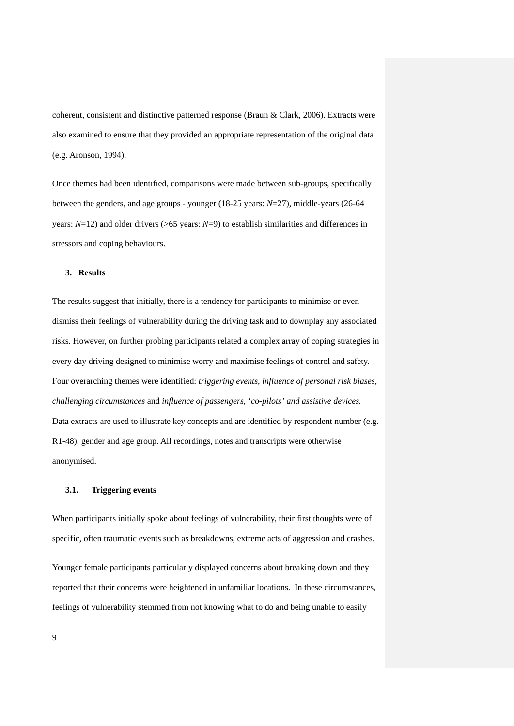coherent, consistent and distinctive patterned response (Braun & Clark, 2006). Extracts were also examined to ensure that they provided an appropriate representation of the original data (e.g. Aronson, 1994).

Once themes had been identified, comparisons were made between sub-groups, specifically between the genders, and age groups - younger (18-25 years: *N*=27), middle-years (26-64 years: *N*=12) and older drivers (>65 years: *N*=9) to establish similarities and differences in stressors and coping behaviours.

#### **3. Results**

The results suggest that initially, there is a tendency for participants to minimise or even dismiss their feelings of vulnerability during the driving task and to downplay any associated risks. However, on further probing participants related a complex array of coping strategies in every day driving designed to minimise worry and maximise feelings of control and safety. Four overarching themes were identified: *triggering events, influence of personal risk biases*, *challenging circumstances* and *influence of passengers, 'co-pilots' and assistive devices.*  Data extracts are used to illustrate key concepts and are identified by respondent number (e.g. R1-48), gender and age group. All recordings, notes and transcripts were otherwise anonymised.

### **3.1. Triggering events**

When participants initially spoke about feelings of vulnerability, their first thoughts were of specific, often traumatic events such as breakdowns, extreme acts of aggression and crashes.

Younger female participants particularly displayed concerns about breaking down and they reported that their concerns were heightened in unfamiliar locations. In these circumstances, feelings of vulnerability stemmed from not knowing what to do and being unable to easily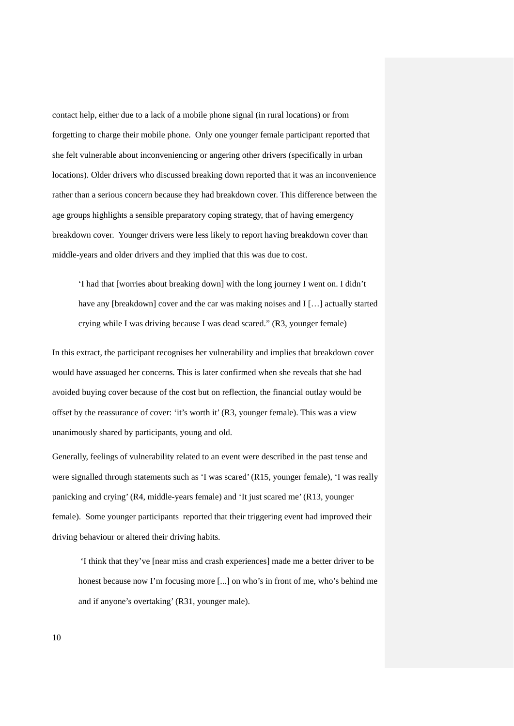contact help, either due to a lack of a mobile phone signal (in rural locations) or from forgetting to charge their mobile phone. Only one younger female participant reported that she felt vulnerable about inconveniencing or angering other drivers (specifically in urban locations). Older drivers who discussed breaking down reported that it was an inconvenience rather than a serious concern because they had breakdown cover. This difference between the age groups highlights a sensible preparatory coping strategy, that of having emergency breakdown cover. Younger drivers were less likely to report having breakdown cover than middle-years and older drivers and they implied that this was due to cost.

'I had that [worries about breaking down] with the long journey I went on. I didn't have any [breakdown] cover and the car was making noises and I [...] actually started crying while I was driving because I was dead scared." (R3, younger female)

In this extract, the participant recognises her vulnerability and implies that breakdown cover would have assuaged her concerns. This is later confirmed when she reveals that she had avoided buying cover because of the cost but on reflection, the financial outlay would be offset by the reassurance of cover: 'it's worth it' (R3, younger female). This was a view unanimously shared by participants, young and old.

Generally, feelings of vulnerability related to an event were described in the past tense and were signalled through statements such as 'I was scared' (R15, younger female), 'I was really panicking and crying' (R4, middle-years female) and 'It just scared me' (R13, younger female). Some younger participants reported that their triggering event had improved their driving behaviour or altered their driving habits.

'I think that they've [near miss and crash experiences] made me a better driver to be honest because now I'm focusing more [...] on who's in front of me, who's behind me and if anyone's overtaking' (R31, younger male).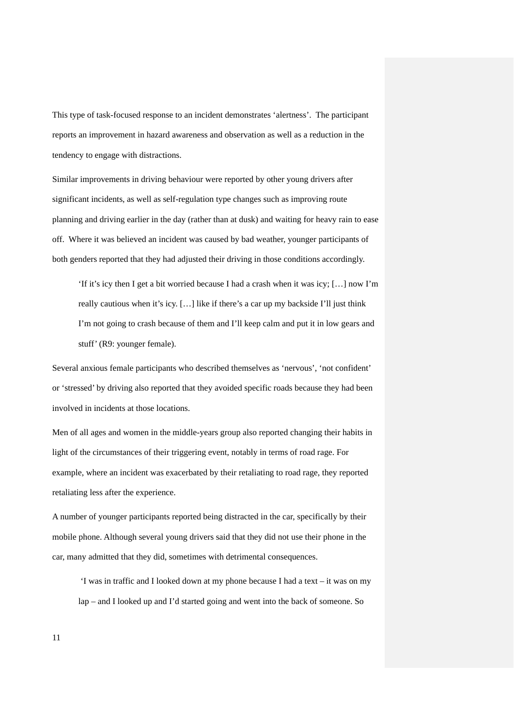This type of task-focused response to an incident demonstrates 'alertness'. The participant reports an improvement in hazard awareness and observation as well as a reduction in the tendency to engage with distractions.

Similar improvements in driving behaviour were reported by other young drivers after significant incidents, as well as self-regulation type changes such as improving route planning and driving earlier in the day (rather than at dusk) and waiting for heavy rain to ease off. Where it was believed an incident was caused by bad weather, younger participants of both genders reported that they had adjusted their driving in those conditions accordingly.

'If it's icy then I get a bit worried because I had a crash when it was icy; […] now I'm really cautious when it's icy. […] like if there's a car up my backside I'll just think I'm not going to crash because of them and I'll keep calm and put it in low gears and stuff' (R9: younger female).

Several anxious female participants who described themselves as 'nervous', 'not confident' or 'stressed' by driving also reported that they avoided specific roads because they had been involved in incidents at those locations.

Men of all ages and women in the middle-years group also reported changing their habits in light of the circumstances of their triggering event, notably in terms of road rage. For example, where an incident was exacerbated by their retaliating to road rage, they reported retaliating less after the experience.

A number of younger participants reported being distracted in the car, specifically by their mobile phone. Although several young drivers said that they did not use their phone in the car, many admitted that they did, sometimes with detrimental consequences.

'I was in traffic and I looked down at my phone because I had a text – it was on my lap – and I looked up and I'd started going and went into the back of someone. So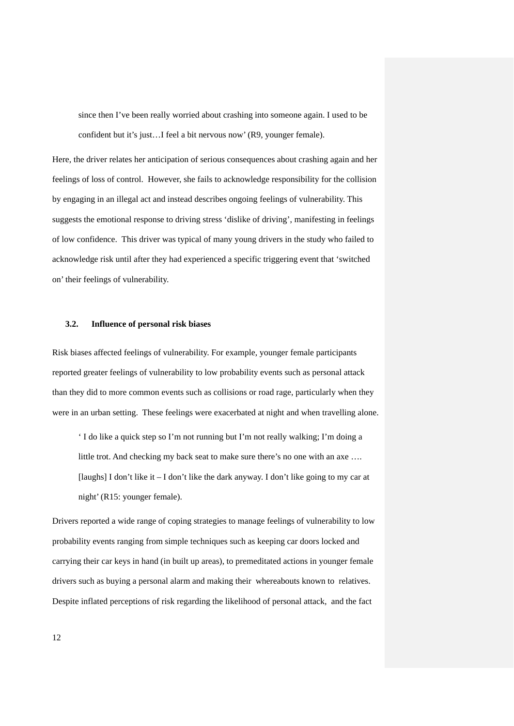since then I've been really worried about crashing into someone again. I used to be confident but it's just…I feel a bit nervous now' (R9, younger female).

Here, the driver relates her anticipation of serious consequences about crashing again and her feelings of loss of control. However, she fails to acknowledge responsibility for the collision by engaging in an illegal act and instead describes ongoing feelings of vulnerability. This suggests the emotional response to driving stress 'dislike of driving', manifesting in feelings of low confidence. This driver was typical of many young drivers in the study who failed to acknowledge risk until after they had experienced a specific triggering event that 'switched on' their feelings of vulnerability.

## **3.2. Influence of personal risk biases**

Risk biases affected feelings of vulnerability. For example, younger female participants reported greater feelings of vulnerability to low probability events such as personal attack than they did to more common events such as collisions or road rage, particularly when they were in an urban setting. These feelings were exacerbated at night and when travelling alone.

' I do like a quick step so I'm not running but I'm not really walking; I'm doing a little trot. And checking my back seat to make sure there's no one with an axe …. [laughs] I don't like it – I don't like the dark anyway. I don't like going to my car at night' (R15: younger female).

Drivers reported a wide range of coping strategies to manage feelings of vulnerability to low probability events ranging from simple techniques such as keeping car doors locked and carrying their car keys in hand (in built up areas), to premeditated actions in younger female drivers such as buying a personal alarm and making their whereabouts known to relatives. Despite inflated perceptions of risk regarding the likelihood of personal attack, and the fact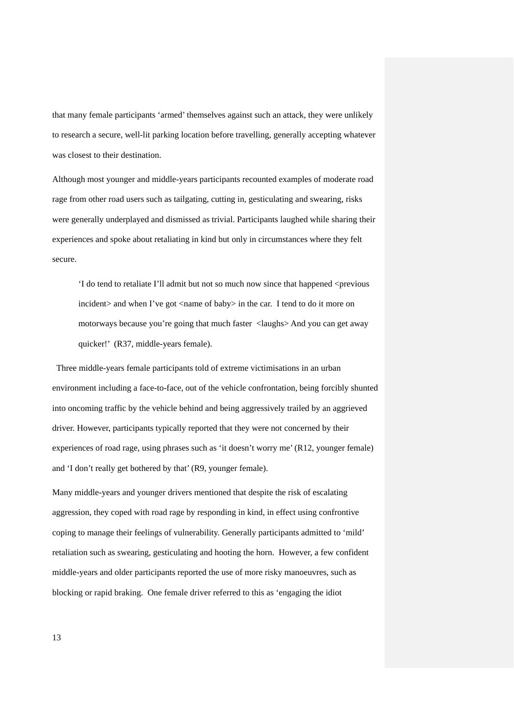that many female participants 'armed' themselves against such an attack, they were unlikely to research a secure, well-lit parking location before travelling, generally accepting whatever was closest to their destination.

Although most younger and middle-years participants recounted examples of moderate road rage from other road users such as tailgating, cutting in, gesticulating and swearing, risks were generally underplayed and dismissed as trivial. Participants laughed while sharing their experiences and spoke about retaliating in kind but only in circumstances where they felt secure.

'I do tend to retaliate I'll admit but not so much now since that happened <previous incident and when I've got  $\langle$ name of baby in the car. I tend to do it more on motorways because you're going that much faster <laughs> And you can get away quicker!' (R37, middle-years female).

Three middle-years female participants told of extreme victimisations in an urban environment including a face-to-face, out of the vehicle confrontation, being forcibly shunted into oncoming traffic by the vehicle behind and being aggressively trailed by an aggrieved driver. However, participants typically reported that they were not concerned by their experiences of road rage, using phrases such as 'it doesn't worry me' (R12, younger female) and 'I don't really get bothered by that' (R9, younger female).

Many middle-years and younger drivers mentioned that despite the risk of escalating aggression, they coped with road rage by responding in kind, in effect using confrontive coping to manage their feelings of vulnerability. Generally participants admitted to 'mild' retaliation such as swearing, gesticulating and hooting the horn. However, a few confident middle-years and older participants reported the use of more risky manoeuvres, such as blocking or rapid braking. One female driver referred to this as 'engaging the idiot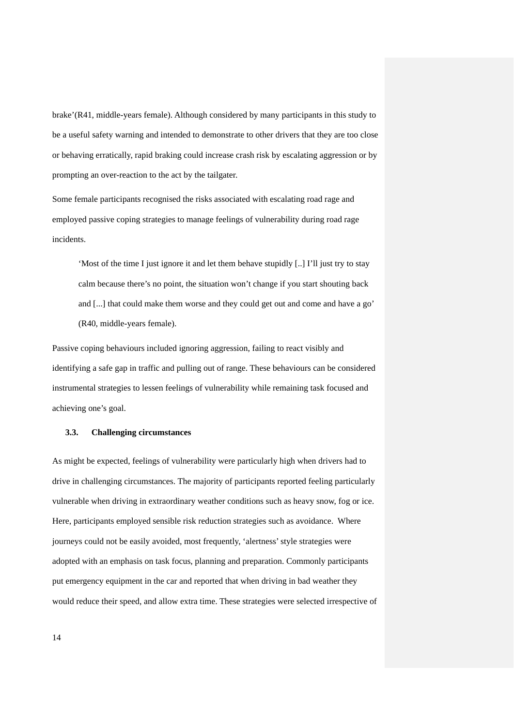brake'(R41, middle-years female). Although considered by many participants in this study to be a useful safety warning and intended to demonstrate to other drivers that they are too close or behaving erratically, rapid braking could increase crash risk by escalating aggression or by prompting an over-reaction to the act by the tailgater.

Some female participants recognised the risks associated with escalating road rage and employed passive coping strategies to manage feelings of vulnerability during road rage incidents.

'Most of the time I just ignore it and let them behave stupidly [..] I'll just try to stay calm because there's no point, the situation won't change if you start shouting back and [...] that could make them worse and they could get out and come and have a go' (R40, middle-years female).

Passive coping behaviours included ignoring aggression, failing to react visibly and identifying a safe gap in traffic and pulling out of range. These behaviours can be considered instrumental strategies to lessen feelings of vulnerability while remaining task focused and achieving one's goal.

#### **3.3. Challenging circumstances**

As might be expected, feelings of vulnerability were particularly high when drivers had to drive in challenging circumstances. The majority of participants reported feeling particularly vulnerable when driving in extraordinary weather conditions such as heavy snow, fog or ice. Here, participants employed sensible risk reduction strategies such as avoidance. Where journeys could not be easily avoided, most frequently, 'alertness' style strategies were adopted with an emphasis on task focus, planning and preparation. Commonly participants put emergency equipment in the car and reported that when driving in bad weather they would reduce their speed, and allow extra time. These strategies were selected irrespective of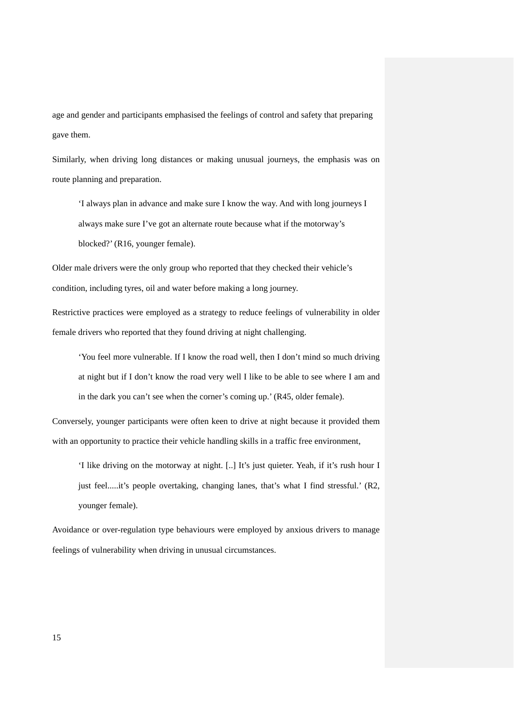age and gender and participants emphasised the feelings of control and safety that preparing gave them.

Similarly, when driving long distances or making unusual journeys, the emphasis was on route planning and preparation.

'I always plan in advance and make sure I know the way. And with long journeys I always make sure I've got an alternate route because what if the motorway's blocked?' (R16, younger female).

Older male drivers were the only group who reported that they checked their vehicle's condition, including tyres, oil and water before making a long journey.

Restrictive practices were employed as a strategy to reduce feelings of vulnerability in older female drivers who reported that they found driving at night challenging.

'You feel more vulnerable. If I know the road well, then I don't mind so much driving at night but if I don't know the road very well I like to be able to see where I am and in the dark you can't see when the corner's coming up.' (R45, older female).

Conversely, younger participants were often keen to drive at night because it provided them with an opportunity to practice their vehicle handling skills in a traffic free environment,

'I like driving on the motorway at night. [..] It's just quieter. Yeah, if it's rush hour I just feel.....it's people overtaking, changing lanes, that's what I find stressful.' (R2, younger female).

Avoidance or over-regulation type behaviours were employed by anxious drivers to manage feelings of vulnerability when driving in unusual circumstances.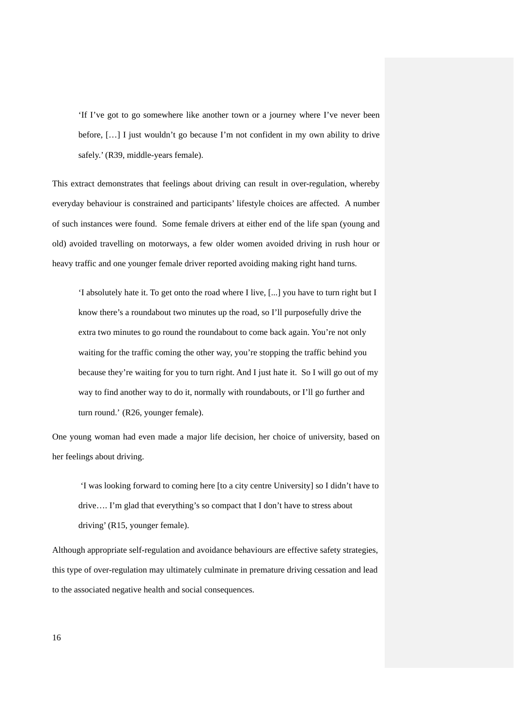'If I've got to go somewhere like another town or a journey where I've never been before, […] I just wouldn't go because I'm not confident in my own ability to drive safely.' (R39, middle-years female).

This extract demonstrates that feelings about driving can result in over-regulation, whereby everyday behaviour is constrained and participants' lifestyle choices are affected. A number of such instances were found. Some female drivers at either end of the life span (young and old) avoided travelling on motorways, a few older women avoided driving in rush hour or heavy traffic and one younger female driver reported avoiding making right hand turns.

'I absolutely hate it. To get onto the road where I live, [...] you have to turn right but I know there's a roundabout two minutes up the road, so I'll purposefully drive the extra two minutes to go round the roundabout to come back again. You're not only waiting for the traffic coming the other way, you're stopping the traffic behind you because they're waiting for you to turn right. And I just hate it. So I will go out of my way to find another way to do it, normally with roundabouts, or I'll go further and turn round.' (R26, younger female).

One young woman had even made a major life decision, her choice of university, based on her feelings about driving.

'I was looking forward to coming here [to a city centre University] so I didn't have to drive…. I'm glad that everything's so compact that I don't have to stress about driving' (R15, younger female).

Although appropriate self-regulation and avoidance behaviours are effective safety strategies, this type of over-regulation may ultimately culminate in premature driving cessation and lead to the associated negative health and social consequences.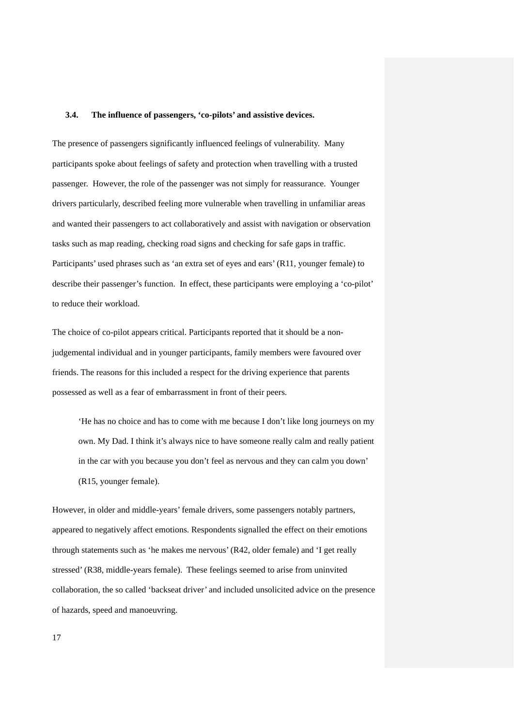#### **3.4. The influence of passengers, 'co-pilots' and assistive devices.**

The presence of passengers significantly influenced feelings of vulnerability. Many participants spoke about feelings of safety and protection when travelling with a trusted passenger. However, the role of the passenger was not simply for reassurance. Younger drivers particularly, described feeling more vulnerable when travelling in unfamiliar areas and wanted their passengers to act collaboratively and assist with navigation or observation tasks such as map reading, checking road signs and checking for safe gaps in traffic. Participants' used phrases such as 'an extra set of eyes and ears' (R11, younger female) to describe their passenger's function. In effect, these participants were employing a 'co-pilot' to reduce their workload.

The choice of co-pilot appears critical. Participants reported that it should be a nonjudgemental individual and in younger participants, family members were favoured over friends. The reasons for this included a respect for the driving experience that parents possessed as well as a fear of embarrassment in front of their peers.

'He has no choice and has to come with me because I don't like long journeys on my own. My Dad. I think it's always nice to have someone really calm and really patient in the car with you because you don't feel as nervous and they can calm you down' (R15, younger female).

However, in older and middle-years' female drivers, some passengers notably partners, appeared to negatively affect emotions. Respondents signalled the effect on their emotions through statements such as 'he makes me nervous' (R42, older female) and 'I get really stressed' (R38, middle-years female). These feelings seemed to arise from uninvited collaboration, the so called 'backseat driver' and included unsolicited advice on the presence of hazards, speed and manoeuvring.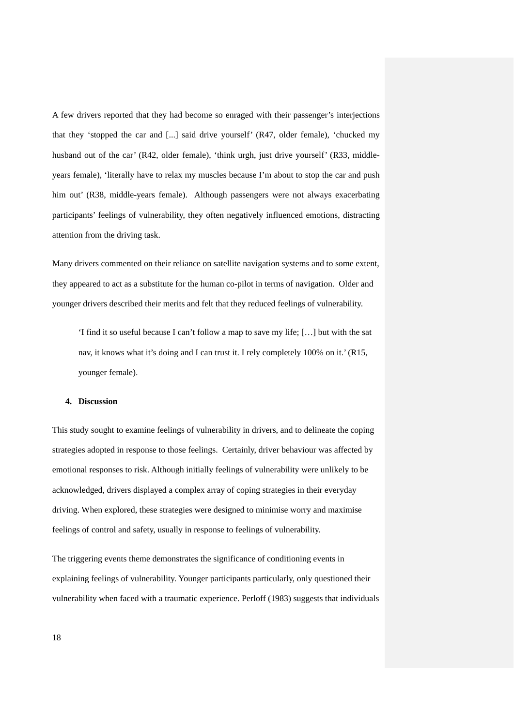A few drivers reported that they had become so enraged with their passenger's interjections that they 'stopped the car and [...] said drive yourself' (R47, older female), 'chucked my husband out of the car' (R42, older female), 'think urgh, just drive yourself' (R33, middleyears female), 'literally have to relax my muscles because I'm about to stop the car and push him out' (R38, middle-years female). Although passengers were not always exacerbating participants' feelings of vulnerability, they often negatively influenced emotions, distracting attention from the driving task.

Many drivers commented on their reliance on satellite navigation systems and to some extent, they appeared to act as a substitute for the human co-pilot in terms of navigation. Older and younger drivers described their merits and felt that they reduced feelings of vulnerability.

'I find it so useful because I can't follow a map to save my life; […] but with the sat nav, it knows what it's doing and I can trust it. I rely completely 100% on it.' (R15, younger female).

#### **4. Discussion**

This study sought to examine feelings of vulnerability in drivers, and to delineate the coping strategies adopted in response to those feelings. Certainly, driver behaviour was affected by emotional responses to risk. Although initially feelings of vulnerability were unlikely to be acknowledged, drivers displayed a complex array of coping strategies in their everyday driving. When explored, these strategies were designed to minimise worry and maximise feelings of control and safety, usually in response to feelings of vulnerability.

The triggering events theme demonstrates the significance of conditioning events in explaining feelings of vulnerability. Younger participants particularly, only questioned their vulnerability when faced with a traumatic experience. Perloff (1983) suggests that individuals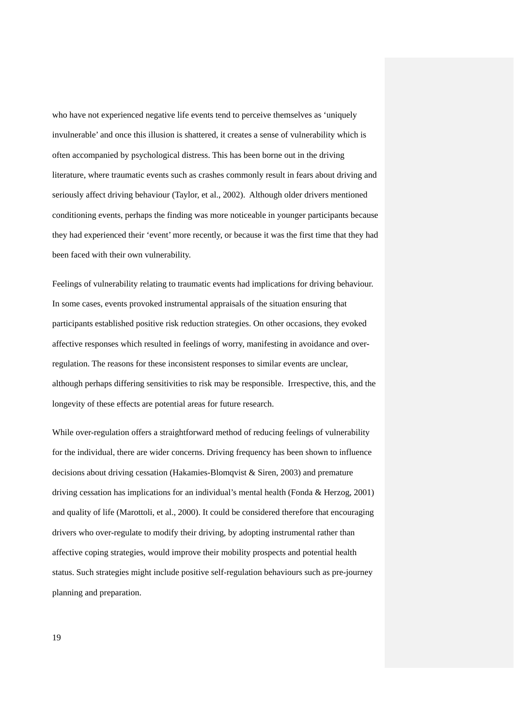who have not experienced negative life events tend to perceive themselves as 'uniquely invulnerable' and once this illusion is shattered, it creates a sense of vulnerability which is often accompanied by psychological distress. This has been borne out in the driving literature, where traumatic events such as crashes commonly result in fears about driving and seriously affect driving behaviour (Taylor, et al., 2002). Although older drivers mentioned conditioning events, perhaps the finding was more noticeable in younger participants because they had experienced their 'event' more recently, or because it was the first time that they had been faced with their own vulnerability.

Feelings of vulnerability relating to traumatic events had implications for driving behaviour. In some cases, events provoked instrumental appraisals of the situation ensuring that participants established positive risk reduction strategies. On other occasions, they evoked affective responses which resulted in feelings of worry, manifesting in avoidance and overregulation. The reasons for these inconsistent responses to similar events are unclear, although perhaps differing sensitivities to risk may be responsible. Irrespective, this, and the longevity of these effects are potential areas for future research.

While over-regulation offers a straightforward method of reducing feelings of vulnerability for the individual, there are wider concerns. Driving frequency has been shown to influence decisions about driving cessation (Hakamies-Blomqvist & Siren, 2003) and premature driving cessation has implications for an individual's mental health (Fonda & Herzog, 2001) and quality of life (Marottoli, et al., 2000). It could be considered therefore that encouraging drivers who over-regulate to modify their driving, by adopting instrumental rather than affective coping strategies, would improve their mobility prospects and potential health status. Such strategies might include positive self-regulation behaviours such as pre-journey planning and preparation.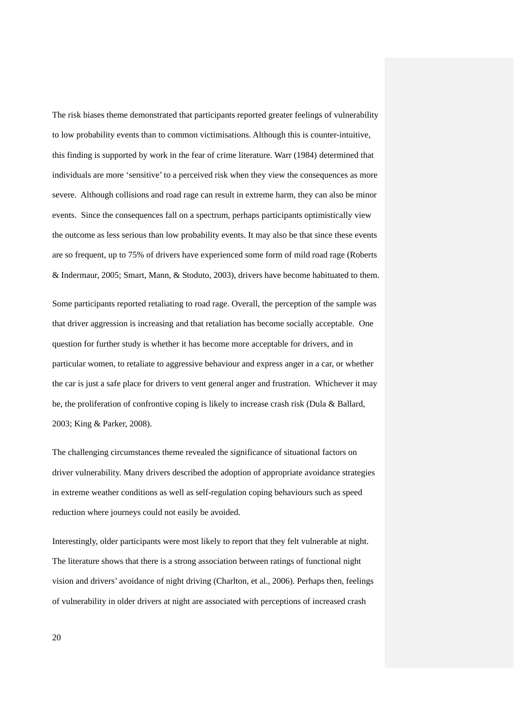The risk biases theme demonstrated that participants reported greater feelings of vulnerability to low probability events than to common victimisations. Although this is counter-intuitive, this finding is supported by work in the fear of crime literature. Warr (1984) determined that individuals are more 'sensitive' to a perceived risk when they view the consequences as more severe. Although collisions and road rage can result in extreme harm, they can also be minor events. Since the consequences fall on a spectrum, perhaps participants optimistically view the outcome as less serious than low probability events. It may also be that since these events are so frequent, up to 75% of drivers have experienced some form of mild road rage (Roberts & Indermaur, 2005; Smart, Mann, & Stoduto, 2003), drivers have become habituated to them.

Some participants reported retaliating to road rage. Overall, the perception of the sample was that driver aggression is increasing and that retaliation has become socially acceptable. One question for further study is whether it has become more acceptable for drivers, and in particular women, to retaliate to aggressive behaviour and express anger in a car, or whether the car is just a safe place for drivers to vent general anger and frustration. Whichever it may be, the proliferation of confrontive coping is likely to increase crash risk (Dula & Ballard, 2003; King & Parker, 2008).

The challenging circumstances theme revealed the significance of situational factors on driver vulnerability. Many drivers described the adoption of appropriate avoidance strategies in extreme weather conditions as well as self-regulation coping behaviours such as speed reduction where journeys could not easily be avoided.

Interestingly, older participants were most likely to report that they felt vulnerable at night. The literature shows that there is a strong association between ratings of functional night vision and drivers' avoidance of night driving (Charlton, et al., 2006). Perhaps then, feelings of vulnerability in older drivers at night are associated with perceptions of increased crash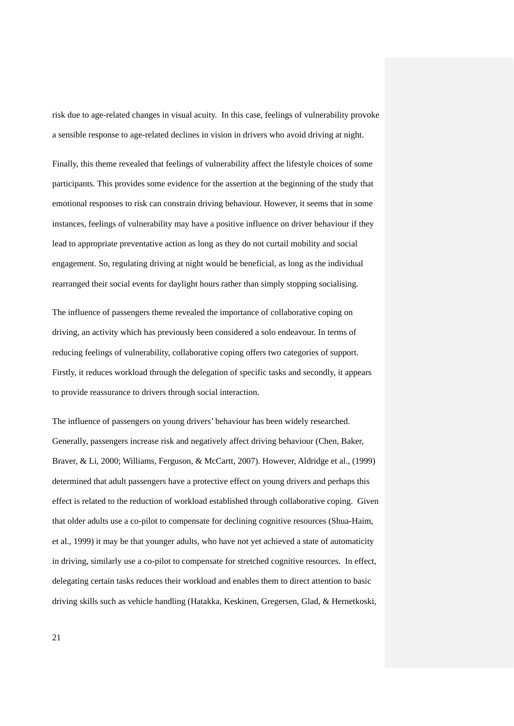risk due to age-related changes in visual acuity. In this case, feelings of vulnerability provoke a sensible response to age-related declines in vision in drivers who avoid driving at night.

Finally, this theme revealed that feelings of vulnerability affect the lifestyle choices of some participants. This provides some evidence for the assertion at the beginning of the study that emotional responses to risk can constrain driving behaviour. However, it seems that in some instances, feelings of vulnerability may have a positive influence on driver behaviour if they lead to appropriate preventative action as long as they do not curtail mobility and social engagement. So, regulating driving at night would be beneficial, as long as the individual rearranged their social events for daylight hours rather than simply stopping socialising.

The influence of passengers theme revealed the importance of collaborative coping on driving, an activity which has previously been considered a solo endeavour. In terms of reducing feelings of vulnerability, collaborative coping offers two categories of support. Firstly, it reduces workload through the delegation of specific tasks and secondly, it appears to provide reassurance to drivers through social interaction.

The influence of passengers on young drivers' behaviour has been widely researched. Generally, passengers increase risk and negatively affect driving behaviour (Chen, Baker, Braver, & Li, 2000; Williams, Ferguson, & McCartt, 2007). However, Aldridge et al., (1999) determined that adult passengers have a protective effect on young drivers and perhaps this effect is related to the reduction of workload established through collaborative coping. Given that older adults use a co-pilot to compensate for declining cognitive resources (Shua-Haim, et al., 1999) it may be that younger adults, who have not yet achieved a state of automaticity in driving, similarly use a co-pilot to compensate for stretched cognitive resources. In effect, delegating certain tasks reduces their workload and enables them to direct attention to basic driving skills such as vehicle handling (Hatakka, Keskinen, Gregersen, Glad, & Hernetkoski,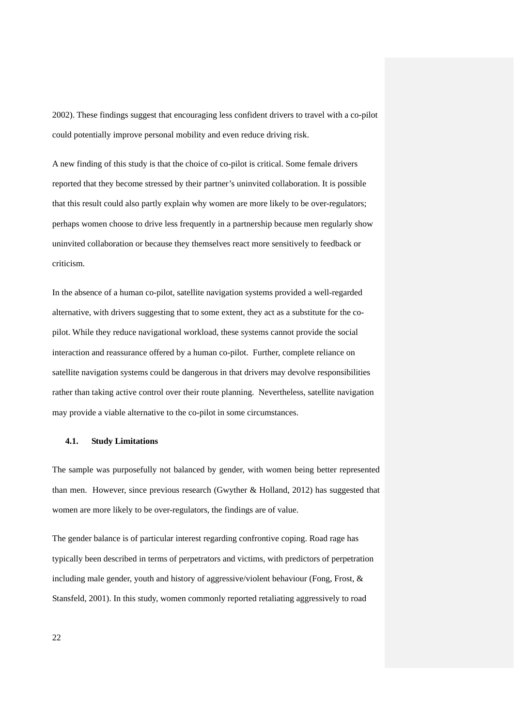2002). These findings suggest that encouraging less confident drivers to travel with a co-pilot could potentially improve personal mobility and even reduce driving risk.

A new finding of this study is that the choice of co-pilot is critical. Some female drivers reported that they become stressed by their partner's uninvited collaboration. It is possible that this result could also partly explain why women are more likely to be over-regulators; perhaps women choose to drive less frequently in a partnership because men regularly show uninvited collaboration or because they themselves react more sensitively to feedback or criticism.

In the absence of a human co-pilot, satellite navigation systems provided a well-regarded alternative, with drivers suggesting that to some extent, they act as a substitute for the copilot. While they reduce navigational workload, these systems cannot provide the social interaction and reassurance offered by a human co-pilot. Further, complete reliance on satellite navigation systems could be dangerous in that drivers may devolve responsibilities rather than taking active control over their route planning. Nevertheless, satellite navigation may provide a viable alternative to the co-pilot in some circumstances.

## **4.1. Study Limitations**

The sample was purposefully not balanced by gender, with women being better represented than men. However, since previous research (Gwyther & Holland, 2012) has suggested that women are more likely to be over-regulators, the findings are of value.

The gender balance is of particular interest regarding confrontive coping. Road rage has typically been described in terms of perpetrators and victims, with predictors of perpetration including male gender, youth and history of aggressive/violent behaviour (Fong, Frost, & Stansfeld, 2001). In this study, women commonly reported retaliating aggressively to road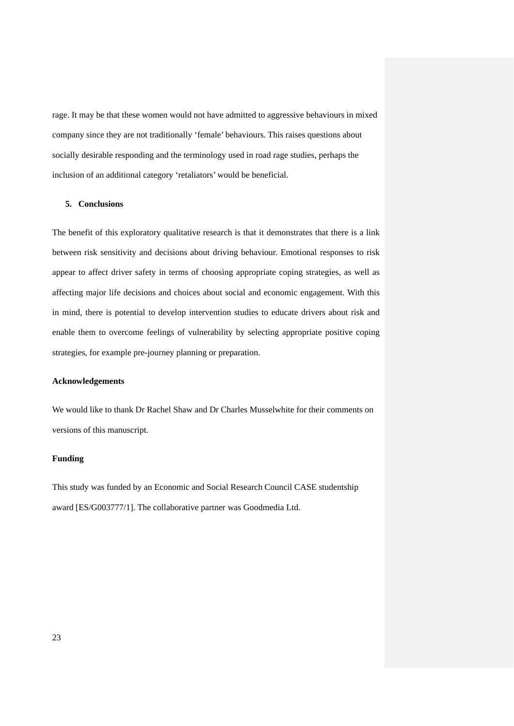rage. It may be that these women would not have admitted to aggressive behaviours in mixed company since they are not traditionally 'female' behaviours. This raises questions about socially desirable responding and the terminology used in road rage studies, perhaps the inclusion of an additional category 'retaliators' would be beneficial.

## **5. Conclusions**

The benefit of this exploratory qualitative research is that it demonstrates that there is a link between risk sensitivity and decisions about driving behaviour. Emotional responses to risk appear to affect driver safety in terms of choosing appropriate coping strategies, as well as affecting major life decisions and choices about social and economic engagement. With this in mind, there is potential to develop intervention studies to educate drivers about risk and enable them to overcome feelings of vulnerability by selecting appropriate positive coping strategies, for example pre-journey planning or preparation.

## **Acknowledgements**

We would like to thank Dr Rachel Shaw and Dr Charles Musselwhite for their comments on versions of this manuscript.

## **Funding**

This study was funded by an Economic and Social Research Council CASE studentship award [ES/G003777/1]. The collaborative partner was Goodmedia Ltd.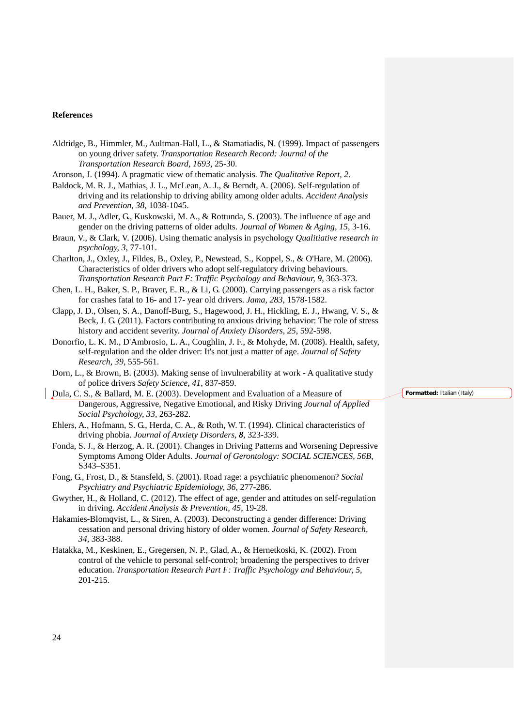#### **References**

Aldridge, B., Himmler, M., Aultman-Hall, L., & Stamatiadis, N. (1999). Impact of passengers on young driver safety. *Transportation Research Record: Journal of the Transportation Research Board, 1693*, 25-30.

Aronson, J. (1994). A pragmatic view of thematic analysis. *The Qualitative Report, 2*.

- Baldock, M. R. J., Mathias, J. L., McLean, A. J., & Berndt, A. (2006). Self-regulation of driving and its relationship to driving ability among older adults. *Accident Analysis and Prevention, 38*, 1038-1045.
- Bauer, M. J., Adler, G., Kuskowski, M. A., & Rottunda, S. (2003). The influence of age and gender on the driving patterns of older adults. *Journal of Women & Aging, 15*, 3-16.
- Braun, V., & Clark, V. (2006). Using thematic analysis in psychology *Qualitiative research in psychology, 3*, 77-101.
- Charlton, J., Oxley, J., Fildes, B., Oxley, P., Newstead, S., Koppel, S., & O'Hare, M. (2006). Characteristics of older drivers who adopt self-regulatory driving behaviours. *Transportation Research Part F: Traffic Psychology and Behaviour, 9*, 363-373.
- Chen, L. H., Baker, S. P., Braver, E. R., & Li, G. (2000). Carrying passengers as a risk factor for crashes fatal to 16- and 17- year old drivers. *Jama, 283*, 1578-1582.
- Clapp, J. D., Olsen, S. A., Danoff-Burg, S., Hagewood, J. H., Hickling, E. J., Hwang, V. S., & Beck, J. G. (2011). Factors contributing to anxious driving behavior: The role of stress history and accident severity. *Journal of Anxiety Disorders, 25*, 592-598.
- Donorfio, L. K. M., D'Ambrosio, L. A., Coughlin, J. F., & Mohyde, M. (2008). Health, safety, self-regulation and the older driver: It's not just a matter of age. *Journal of Safety Research, 39*, 555-561.
- Dorn, L., & Brown, B. (2003). Making sense of invulnerability at work A qualitative study of police drivers *Safety Science, 41*, 837-859.
- Dula, C. S., & Ballard, M. E. (2003). Development and Evaluation of a Measure of Dangerous, Aggressive, Negative Emotional, and Risky Driving *Journal of Applied Social Psychology, 33*, 263-282.
- Ehlers, A., Hofmann, S. G., Herda, C. A., & Roth, W. T. (1994). Clinical characteristics of driving phobia. *Journal of Anxiety Disorders, 8*, 323-339.
- Fonda, S. J., & Herzog, A. R. (2001). Changes in Driving Patterns and Worsening Depressive Symptoms Among Older Adults. *Journal of Gerontology: SOCIAL SCIENCES, 56B*, S343–S351.
- Fong, G., Frost, D., & Stansfeld, S. (2001). Road rage: a psychiatric phenomenon? *Social Psychiatry and Psychiatric Epidemiology, 36*, 277-286.
- Gwyther, H., & Holland, C. (2012). The effect of age, gender and attitudes on self-regulation in driving. *Accident Analysis & Prevention, 45*, 19-28.
- Hakamies-Blomqvist, L., & Siren, A. (2003). Deconstructing a gender difference: Driving cessation and personal driving history of older women. *Journal of Safety Research, 34*, 383-388.
- Hatakka, M., Keskinen, E., Gregersen, N. P., Glad, A., & Hernetkoski, K. (2002). From control of the vehicle to personal self-control; broadening the perspectives to driver education. *Transportation Research Part F: Traffic Psychology and Behaviour, 5*, 201-215.

**Formatted:** Italian (Italy)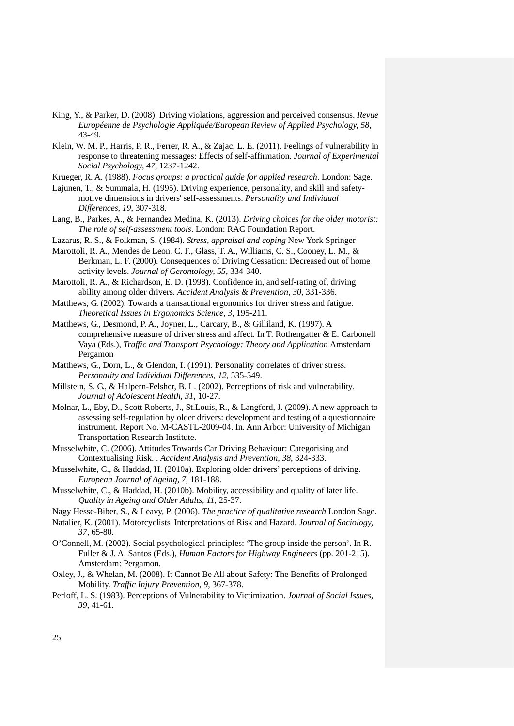- King, Y., & Parker, D. (2008). Driving violations, aggression and perceived consensus. *Revue Européenne de Psychologie Appliquée/European Review of Applied Psychology, 58*, 43-49.
- Klein, W. M. P., Harris, P. R., Ferrer, R. A., & Zajac, L. E. (2011). Feelings of vulnerability in response to threatening messages: Effects of self-affirmation. *Journal of Experimental Social Psychology, 47*, 1237-1242.

Krueger, R. A. (1988). *Focus groups: a practical guide for applied research*. London: Sage.

- Lajunen, T., & Summala, H. (1995). Driving experience, personality, and skill and safetymotive dimensions in drivers' self-assessments. *Personality and Individual Differences, 19*, 307-318.
- Lang, B., Parkes, A., & Fernandez Medina, K. (2013). *Driving choices for the older motorist: The role of self-assessment tools*. London: RAC Foundation Report.
- Lazarus, R. S., & Folkman, S. (1984). *Stress, appraisal and coping* New York Springer
- Marottoli, R. A., Mendes de Leon, C. F., Glass, T. A., Williams, C. S., Cooney, L. M., & Berkman, L. F. (2000). Consequences of Driving Cessation: Decreased out of home activity levels. *Journal of Gerontology, 55*, 334-340.
- Marottoli, R. A., & Richardson, E. D. (1998). Confidence in, and self-rating of, driving ability among older drivers. *Accident Analysis & Prevention, 30*, 331-336.
- Matthews, G. (2002). Towards a transactional ergonomics for driver stress and fatigue. *Theoretical Issues in Ergonomics Science, 3*, 195-211.
- Matthews, G., Desmond, P. A., Joyner, L., Carcary, B., & Gilliland, K. (1997). A comprehensive measure of driver stress and affect. In T. Rothengatter & E. Carbonell Vaya (Eds.), *Traffic and Transport Psychology: Theory and Application* Amsterdam Pergamon
- Matthews, G., Dorn, L., & Glendon, I. (1991). Personality correlates of driver stress. *Personality and Individual Differences, 12*, 535-549.
- Millstein, S. G., & Halpern-Felsher, B. L. (2002). Perceptions of risk and vulnerability. *Journal of Adolescent Health, 31*, 10-27.
- Molnar, L., Eby, D., Scott Roberts, J., St.Louis, R., & Langford, J. (2009). A new approach to assessing self-regulation by older drivers: development and testing of a questionnaire instrument. Report No. M-CASTL-2009-04. In. Ann Arbor: University of Michigan Transportation Research Institute.
- Musselwhite, C. (2006). Attitudes Towards Car Driving Behaviour: Categorising and Contextualising Risk. . *Accident Analysis and Prevention, 38*, 324-333.
- Musselwhite, C., & Haddad, H. (2010a). Exploring older drivers' perceptions of driving. *European Journal of Ageing, 7*, 181-188.
- Musselwhite, C., & Haddad, H. (2010b). Mobility, accessibility and quality of later life. *Quality in Ageing and Older Adults, 11*, 25-37.
- Nagy Hesse-Biber, S., & Leavy, P. (2006). *The practice of qualitative research* London Sage.
- Natalier, K. (2001). Motorcyclists' Interpretations of Risk and Hazard. *Journal of Sociology, 37*, 65-80.
- O'Connell, M. (2002). Social psychological principles: 'The group inside the person'. In R. Fuller & J. A. Santos (Eds.), *Human Factors for Highway Engineers* (pp. 201-215). Amsterdam: Pergamon.
- Oxley, J., & Whelan, M. (2008). It Cannot Be All about Safety: The Benefits of Prolonged Mobility. *Traffic Injury Prevention, 9*, 367-378.
- Perloff, L. S. (1983). Perceptions of Vulnerability to Victimization. *Journal of Social Issues, 39*, 41-61.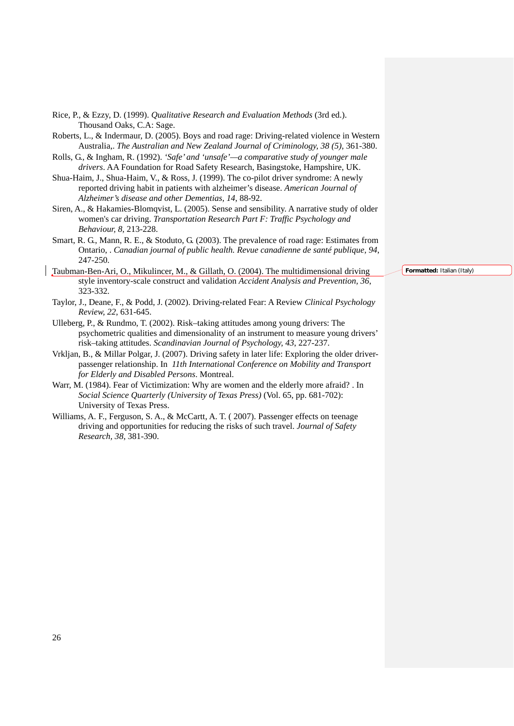- Rice, P., & Ezzy, D. (1999). *Qualitative Research and Evaluation Methods* (3rd ed.). Thousand Oaks, C.A: Sage.
- Roberts, L., & Indermaur, D. (2005). Boys and road rage: Driving-related violence in Western Australia,. *The Australian and New Zealand Journal of Criminology, 38 (5)*, 361-380.
- Rolls, G., & Ingham, R. (1992). *'Safe' and 'unsafe'—a comparative study of younger male drivers*. AA Foundation for Road Safety Research, Basingstoke, Hampshire, UK.
- Shua-Haim, J., Shua-Haim, V., & Ross, J. (1999). The co-pilot driver syndrome: A newly reported driving habit in patients with alzheimer's disease. *American Journal of Alzheimer's disease and other Dementias, 14*, 88-92.
- Siren, A., & Hakamies-Blomqvist, L. (2005). Sense and sensibility. A narrative study of older women's car driving. *Transportation Research Part F: Traffic Psychology and Behaviour, 8*, 213-228.
- Smart, R. G., Mann, R. E., & Stoduto, G. (2003). The prevalence of road rage: Estimates from Ontario, . *Canadian journal of public health. Revue canadienne de santé publique, 94*, 247-250.
- Taubman-Ben-Ari, O., Mikulincer, M., & Gillath, O. (2004). The multidimensional driving style inventory-scale construct and validation *Accident Analysis and Prevention, 36*, 323-332.
- Taylor, J., Deane, F., & Podd, J. (2002). Driving-related Fear: A Review *Clinical Psychology Review, 22*, 631-645.
- Ulleberg, P., & Rundmo, T. (2002). Risk–taking attitudes among young drivers: The psychometric qualities and dimensionality of an instrument to measure young drivers' risk–taking attitudes. *Scandinavian Journal of Psychology, 43*, 227-237.
- Vrkljan, B., & Millar Polgar, J. (2007). Driving safety in later life: Exploring the older driverpassenger relationship. In *11th International Conference on Mobility and Transport for Elderly and Disabled Persons*. Montreal.
- Warr, M. (1984). Fear of Victimization: Why are women and the elderly more afraid? . In *Social Science Quarterly (University of Texas Press)* (Vol. 65, pp. 681-702): University of Texas Press.
- Williams, A. F., Ferguson, S. A., & McCartt, A. T. ( 2007). Passenger effects on teenage driving and opportunities for reducing the risks of such travel. *Journal of Safety Research, 38*, 381-390.

**Formatted:** Italian (Italy)